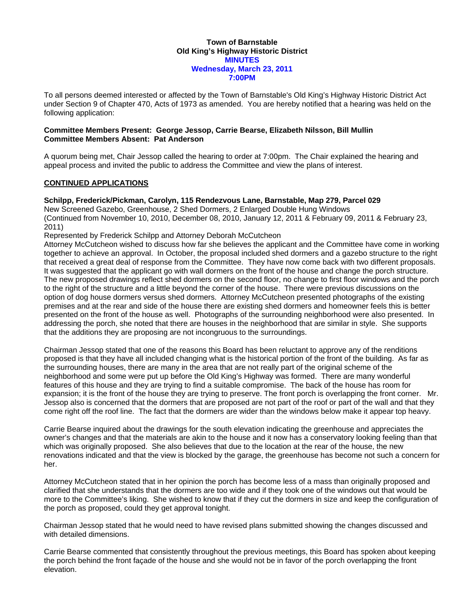### **Town of Barnstable Old King's Highway Historic District MINUTES Wednesday, March 23, 2011 7:00PM**

To all persons deemed interested or affected by the Town of Barnstable's Old King's Highway Historic District Act under Section 9 of Chapter 470, Acts of 1973 as amended. You are hereby notified that a hearing was held on the following application:

### **Committee Members Present: George Jessop, Carrie Bearse, Elizabeth Nilsson, Bill Mullin Committee Members Absent: Pat Anderson**

A quorum being met, Chair Jessop called the hearing to order at 7:00pm. The Chair explained the hearing and appeal process and invited the public to address the Committee and view the plans of interest.

# **CONTINUED APPLICATIONS**

### **Schilpp, Frederick/Pickman, Carolyn, 115 Rendezvous Lane, Barnstable, Map 279, Parcel 029**

New Screened Gazebo, Greenhouse, 2 Shed Dormers, 2 Enlarged Double Hung Windows (Continued from November 10, 2010, December 08, 2010, January 12, 2011 & February 09, 2011 & February 23, 2011)

Represented by Frederick Schilpp and Attorney Deborah McCutcheon

Attorney McCutcheon wished to discuss how far she believes the applicant and the Committee have come in working together to achieve an approval. In October, the proposal included shed dormers and a gazebo structure to the right that received a great deal of response from the Committee. They have now come back with two different proposals. It was suggested that the applicant go with wall dormers on the front of the house and change the porch structure. The new proposed drawings reflect shed dormers on the second floor, no change to first floor windows and the porch to the right of the structure and a little beyond the corner of the house. There were previous discussions on the option of dog house dormers versus shed dormers. Attorney McCutcheon presented photographs of the existing premises and at the rear and side of the house there are existing shed dormers and homeowner feels this is better presented on the front of the house as well. Photographs of the surrounding neighborhood were also presented. In addressing the porch, she noted that there are houses in the neighborhood that are similar in style. She supports that the additions they are proposing are not incongruous to the surroundings.

Chairman Jessop stated that one of the reasons this Board has been reluctant to approve any of the renditions proposed is that they have all included changing what is the historical portion of the front of the building. As far as the surrounding houses, there are many in the area that are not really part of the original scheme of the neighborhood and some were put up before the Old King's Highway was formed. There are many wonderful features of this house and they are trying to find a suitable compromise. The back of the house has room for expansion; it is the front of the house they are trying to preserve. The front porch is overlapping the front corner. Mr. Jessop also is concerned that the dormers that are proposed are not part of the roof or part of the wall and that they come right off the roof line. The fact that the dormers are wider than the windows below make it appear top heavy.

Carrie Bearse inquired about the drawings for the south elevation indicating the greenhouse and appreciates the owner's changes and that the materials are akin to the house and it now has a conservatory looking feeling than that which was originally proposed. She also believes that due to the location at the rear of the house, the new renovations indicated and that the view is blocked by the garage, the greenhouse has become not such a concern for her.

Attorney McCutcheon stated that in her opinion the porch has become less of a mass than originally proposed and clarified that she understands that the dormers are too wide and if they took one of the windows out that would be more to the Committee's liking. She wished to know that if they cut the dormers in size and keep the configuration of the porch as proposed, could they get approval tonight.

Chairman Jessop stated that he would need to have revised plans submitted showing the changes discussed and with detailed dimensions.

Carrie Bearse commented that consistently throughout the previous meetings, this Board has spoken about keeping the porch behind the front façade of the house and she would not be in favor of the porch overlapping the front elevation.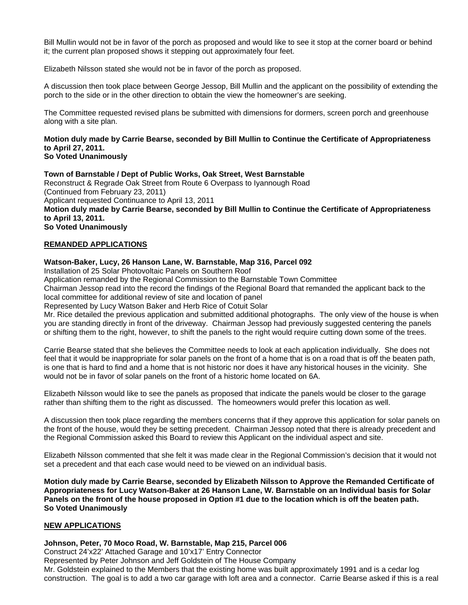Bill Mullin would not be in favor of the porch as proposed and would like to see it stop at the corner board or behind it; the current plan proposed shows it stepping out approximately four feet.

Elizabeth Nilsson stated she would not be in favor of the porch as proposed.

A discussion then took place between George Jessop, Bill Mullin and the applicant on the possibility of extending the porch to the side or in the other direction to obtain the view the homeowner's are seeking.

The Committee requested revised plans be submitted with dimensions for dormers, screen porch and greenhouse along with a site plan.

#### **Motion duly made by Carrie Bearse, seconded by Bill Mullin to Continue the Certificate of Appropriateness to April 27, 2011. So Voted Unanimously**

## **Town of Barnstable / Dept of Public Works, Oak Street, West Barnstable**

Reconstruct & Regrade Oak Street from Route 6 Overpass to Iyannough Road (Continued from February 23, 2011) Applicant requested Continuance to April 13, 2011 **Motion duly made by Carrie Bearse, seconded by Bill Mullin to Continue the Certificate of Appropriateness to April 13, 2011. So Voted Unanimously** 

## **REMANDED APPLICATIONS**

## **Watson-Baker, Lucy, 26 Hanson Lane, W. Barnstable, Map 316, Parcel 092**

Installation of 25 Solar Photovoltaic Panels on Southern Roof

Application remanded by the Regional Commission to the Barnstable Town Committee

Chairman Jessop read into the record the findings of the Regional Board that remanded the applicant back to the local committee for additional review of site and location of panel

Represented by Lucy Watson Baker and Herb Rice of Cotuit Solar

Mr. Rice detailed the previous application and submitted additional photographs. The only view of the house is when you are standing directly in front of the driveway. Chairman Jessop had previously suggested centering the panels or shifting them to the right, however, to shift the panels to the right would require cutting down some of the trees.

Carrie Bearse stated that she believes the Committee needs to look at each application individually. She does not feel that it would be inappropriate for solar panels on the front of a home that is on a road that is off the beaten path, is one that is hard to find and a home that is not historic nor does it have any historical houses in the vicinity. She would not be in favor of solar panels on the front of a historic home located on 6A.

Elizabeth Nilsson would like to see the panels as proposed that indicate the panels would be closer to the garage rather than shifting them to the right as discussed. The homeowners would prefer this location as well.

A discussion then took place regarding the members concerns that if they approve this application for solar panels on the front of the house, would they be setting precedent. Chairman Jessop noted that there is already precedent and the Regional Commission asked this Board to review this Applicant on the individual aspect and site.

Elizabeth Nilsson commented that she felt it was made clear in the Regional Commission's decision that it would not set a precedent and that each case would need to be viewed on an individual basis.

**Motion duly made by Carrie Bearse, seconded by Elizabeth Nilsson to Approve the Remanded Certificate of Appropriateness for Lucy Watson-Baker at 26 Hanson Lane, W. Barnstable on an Individual basis for Solar Panels on the front of the house proposed in Option #1 due to the location which is off the beaten path. So Voted Unanimously** 

### **NEW APPLICATIONS**

# **Johnson, Peter, 70 Moco Road, W. Barnstable, Map 215, Parcel 006**

Construct 24'x22' Attached Garage and 10'x17' Entry Connector Represented by Peter Johnson and Jeff Goldstein of The House Company Mr. Goldstein explained to the Members that the existing home was built approximately 1991 and is a cedar log construction. The goal is to add a two car garage with loft area and a connector. Carrie Bearse asked if this is a real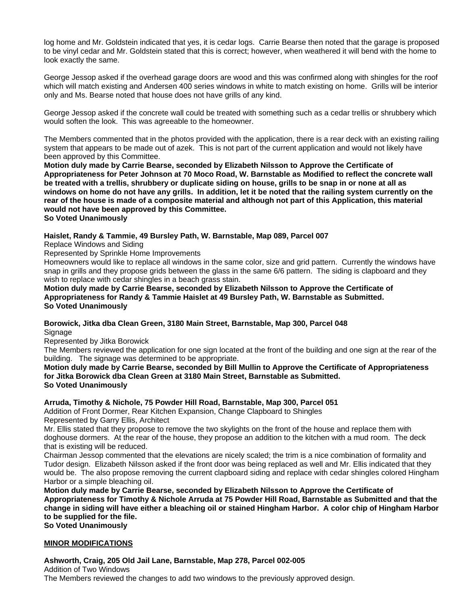log home and Mr. Goldstein indicated that yes, it is cedar logs. Carrie Bearse then noted that the garage is proposed to be vinyl cedar and Mr. Goldstein stated that this is correct; however, when weathered it will bend with the home to look exactly the same.

George Jessop asked if the overhead garage doors are wood and this was confirmed along with shingles for the roof which will match existing and Andersen 400 series windows in white to match existing on home. Grills will be interior only and Ms. Bearse noted that house does not have grills of any kind.

George Jessop asked if the concrete wall could be treated with something such as a cedar trellis or shrubbery which would soften the look. This was agreeable to the homeowner.

The Members commented that in the photos provided with the application, there is a rear deck with an existing railing system that appears to be made out of azek. This is not part of the current application and would not likely have been approved by this Committee.

**Motion duly made by Carrie Bearse, seconded by Elizabeth Nilsson to Approve the Certificate of Appropriateness for Peter Johnson at 70 Moco Road, W. Barnstable as Modified to reflect the concrete wall be treated with a trellis, shrubbery or duplicate siding on house, grills to be snap in or none at all as windows on home do not have any grills. In addition, let it be noted that the railing system currently on the rear of the house is made of a composite material and although not part of this Application, this material would not have been approved by this Committee. So Voted Unanimously** 

## **Haislet, Randy & Tammie, 49 Bursley Path, W. Barnstable, Map 089, Parcel 007**

Replace Windows and Siding

Represented by Sprinkle Home Improvements

Homeowners would like to replace all windows in the same color, size and grid pattern. Currently the windows have snap in grills and they propose grids between the glass in the same 6/6 pattern. The siding is clapboard and they wish to replace with cedar shingles in a beach grass stain.

**Motion duly made by Carrie Bearse, seconded by Elizabeth Nilsson to Approve the Certificate of Appropriateness for Randy & Tammie Haislet at 49 Bursley Path, W. Barnstable as Submitted. So Voted Unanimously** 

**Borowick, Jitka dba Clean Green, 3180 Main Street, Barnstable, Map 300, Parcel 048 Signage** 

Represented by Jitka Borowick

The Members reviewed the application for one sign located at the front of the building and one sign at the rear of the building. The signage was determined to be appropriate.

**Motion duly made by Carrie Bearse, seconded by Bill Mullin to Approve the Certificate of Appropriateness for Jitka Borowick dba Clean Green at 3180 Main Street, Barnstable as Submitted. So Voted Unanimously** 

**Arruda, Timothy & Nichole, 75 Powder Hill Road, Barnstable, Map 300, Parcel 051** 

Addition of Front Dormer, Rear Kitchen Expansion, Change Clapboard to Shingles Represented by Garry Ellis, Architect

Mr. Ellis stated that they propose to remove the two skylights on the front of the house and replace them with doghouse dormers. At the rear of the house, they propose an addition to the kitchen with a mud room. The deck that is existing will be reduced.

Chairman Jessop commented that the elevations are nicely scaled; the trim is a nice combination of formality and Tudor design. Elizabeth Nilsson asked if the front door was being replaced as well and Mr. Ellis indicated that they would be. The also propose removing the current clapboard siding and replace with cedar shingles colored Hingham Harbor or a simple bleaching oil.

**Motion duly made by Carrie Bearse, seconded by Elizabeth Nilsson to Approve the Certificate of Appropriateness for Timothy & Nichole Arruda at 75 Powder Hill Road, Barnstable as Submitted and that the change in siding will have either a bleaching oil or stained Hingham Harbor. A color chip of Hingham Harbor to be supplied for the file.** 

**So Voted Unanimously** 

### **MINOR MODIFICATIONS**

### **Ashworth, Craig, 205 Old Jail Lane, Barnstable, Map 278, Parcel 002-005**

Addition of Two Windows The Members reviewed the changes to add two windows to the previously approved design.